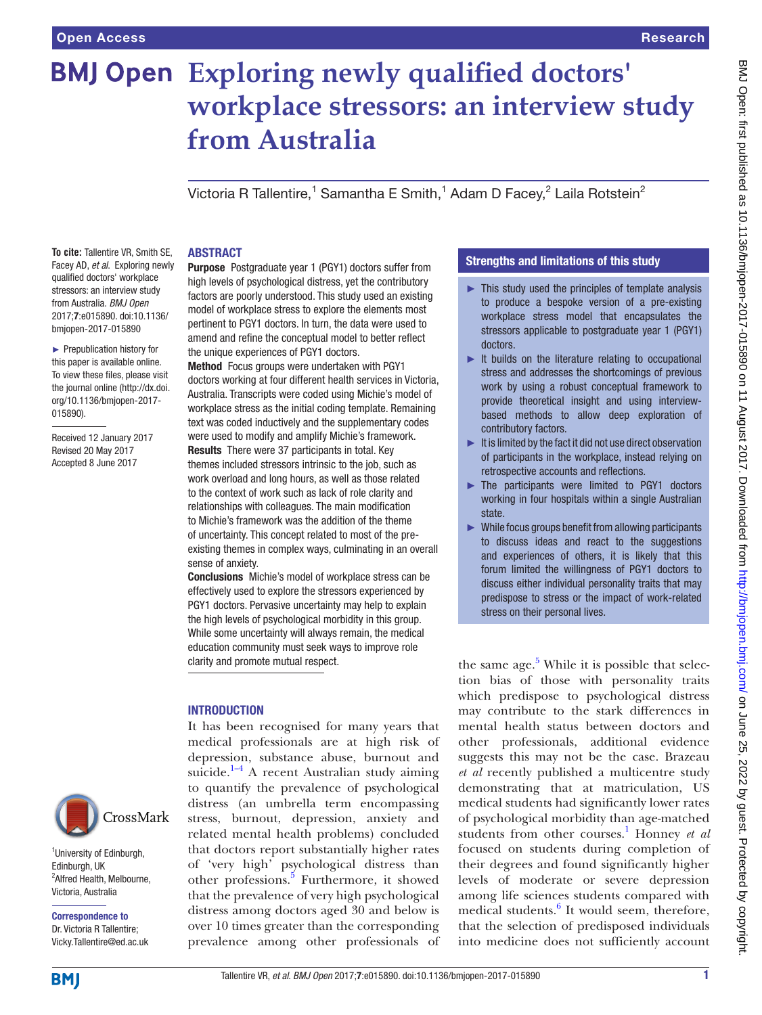# **Exploring newly qualified doctors' workplace stressors: an interview study from Australia**

Victoria R Tallentire, $^1$  Samantha E Smith, $^1$  Adam D Facey, $^2$  Laila Rotstein $^2$ 

**To cite:** Tallentire VR, Smith SE, Facey AD, *et al*. Exploring newly qualified doctors' workplace stressors: an interview study from Australia. *BMJ Open* 2017;7:e015890. doi:10.1136/ bmjopen-2017-015890

► Prepublication history for this paper is available online. To view these files, please visit the journal online [\(http://dx.doi.](http://dx.doi.org/10.1136/bmjopen-2017-015890) [org/10.1136/bmjopen-2017-](http://dx.doi.org/10.1136/bmjopen-2017-015890) [015890\)](http://dx.doi.org/10.1136/bmjopen-2017-015890).

Received 12 January 2017 Revised 20 May 2017 Accepted 8 June 2017



<sup>1</sup>University of Edinburgh, Edinburgh, UK <sup>2</sup> Alfred Health, Melbourne, Victoria, Australia

Correspondence to Dr. Victoria R Tallentire; Vicky.Tallentire@ed.ac.uk

#### **ABSTRACT**

Purpose Postgraduate year 1 (PGY1) doctors suffer from high levels of psychological distress, yet the contributory factors are poorly understood. This study used an existing model of workplace stress to explore the elements most pertinent to PGY1 doctors. In turn, the data were used to amend and refine the conceptual model to better reflect the unique experiences of PGY1 doctors.

Method Focus groups were undertaken with PGY1 doctors working at four different health services in Victoria, Australia. Transcripts were coded using Michie's model of workplace stress as the initial coding template. Remaining text was coded inductively and the supplementary codes were used to modify and amplify Michie's framework. Results There were 37 participants in total. Key themes included stressors intrinsic to the job, such as work overload and long hours, as well as those related to the context of work such as lack of role clarity and relationships with colleagues. The main modification to Michie's framework was the addition of the theme of uncertainty. This concept related to most of the preexisting themes in complex ways, culminating in an overall sense of anxiety.

Conclusions Michie's model of workplace stress can be effectively used to explore the stressors experienced by PGY1 doctors. Pervasive uncertainty may help to explain the high levels of psychological morbidity in this group. While some uncertainty will always remain, the medical education community must seek ways to improve role clarity and promote mutual respect.

# **INTRODUCTION**

It has been recognised for many years that medical professionals are at high risk of depression, substance abuse, burnout and suicide. $1-4$  A recent Australian study aiming to quantify the prevalence of psychological distress (an umbrella term encompassing stress, burnout, depression, anxiety and related mental health problems) concluded that doctors report substantially higher rates of 'very high' psychological distress than other professions.<sup>5</sup> Furthermore, it showed that the prevalence of very high psychological distress among doctors aged 30 and below is over 10 times greater than the corresponding prevalence among other professionals of

# Strengths and limitations of this study

- $\blacktriangleright$  This study used the principles of template analysis to produce a bespoke version of a pre-existing workplace stress model that encapsulates the stressors applicable to postgraduate year 1 (PGY1) doctors.
- ► It builds on the literature relating to occupational stress and addresses the shortcomings of previous work by using a robust conceptual framework to provide theoretical insight and using interviewbased methods to allow deep exploration of contributory factors.
- $\blacktriangleright$  It is limited by the fact it did not use direct observation of participants in the workplace, instead relying on retrospective accounts and reflections.
- ► The participants were limited to PGY1 doctors working in four hospitals within a single Australian state.
- $\triangleright$  While focus groups benefit from allowing participants to discuss ideas and react to the suggestions and experiences of others, it is likely that this forum limited the willingness of PGY1 doctors to discuss either individual personality traits that may predispose to stress or the impact of work-related stress on their personal lives.

the same age. $5$  While it is possible that selection bias of those with personality traits which predispose to psychological distress may contribute to the stark differences in mental health status between doctors and other professionals, additional evidence suggests this may not be the case. Brazeau *et al* recently published a multicentre study demonstrating that at matriculation, US medical students had significantly lower rates of psychological morbidity than age-matched students from other courses.<sup>[1](#page-9-0)</sup> Honney et al focused on students during completion of their degrees and found significantly higher levels of moderate or severe depression among life sciences students compared with medical students.<sup>6</sup> It would seem, therefore, that the selection of predisposed individuals into medicine does not sufficiently account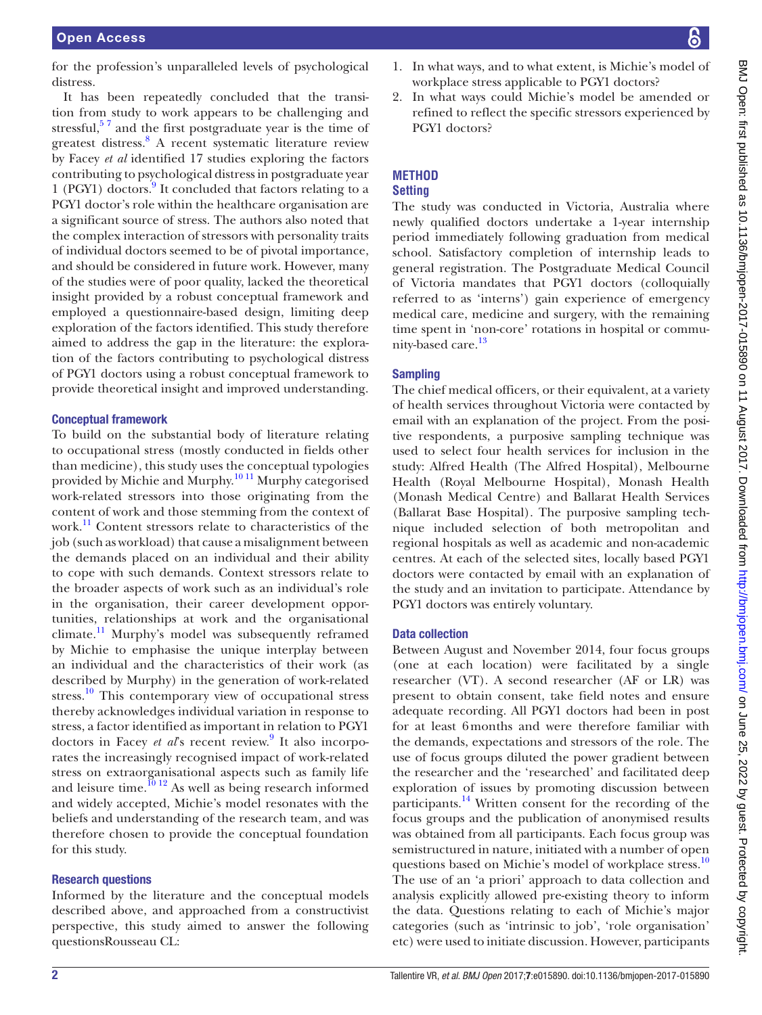for the profession's unparalleled levels of psychological distress.

It has been repeatedly concluded that the transition from study to work appears to be challenging and stressful, $5^7$  and the first postgraduate year is the time of greatest distress.<sup>[8](#page-9-3)</sup> A recent systematic literature review by Facey *et al* identified 17 studies exploring the factors contributing to psychological distress in postgraduate year 1 (PGY1) doctors.<sup>[9](#page-9-4)</sup> It concluded that factors relating to a PGY1 doctor's role within the healthcare organisation are a significant source of stress. The authors also noted that the complex interaction of stressors with personality traits of individual doctors seemed to be of pivotal importance, and should be considered in future work. However, many of the studies were of poor quality, lacked the theoretical insight provided by a robust conceptual framework and employed a questionnaire-based design, limiting deep exploration of the factors identified. This study therefore aimed to address the gap in the literature: the exploration of the factors contributing to psychological distress of PGY1 doctors using a robust conceptual framework to provide theoretical insight and improved understanding.

#### Conceptual framework

To build on the substantial body of literature relating to occupational stress (mostly conducted in fields other than medicine), this study uses the conceptual typologies provided by Michie and Murphy.[10 11](#page-9-5) Murphy categorised work-related stressors into those originating from the content of work and those stemming from the context of work.<sup>11</sup> Content stressors relate to characteristics of the job (such as workload) that cause a misalignment between the demands placed on an individual and their ability to cope with such demands. Context stressors relate to the broader aspects of work such as an individual's role in the organisation, their career development opportunities, relationships at work and the organisational climate.<sup>[11](#page-9-6)</sup> Murphy's model was subsequently reframed by Michie to emphasise the unique interplay between an individual and the characteristics of their work (as described by Murphy) in the generation of work-related stress.<sup>[10](#page-9-5)</sup> This contemporary view of occupational stress thereby acknowledges individual variation in response to stress, a factor identified as important in relation to PGY1 doctors in Facey et al's recent review.<sup>[9](#page-9-4)</sup> It also incorporates the increasingly recognised impact of work-related stress on extraorganisational aspects such as family life and leisure time.<sup>10 12</sup> As well as being research informed and widely accepted, Michie's model resonates with the beliefs and understanding of the research team, and was therefore chosen to provide the conceptual foundation for this study.

#### Research questions

Informed by the literature and the conceptual models described above, and approached from a constructivist perspective, this study aimed to answer the following questionsRousseau CL:

- BMJ Open: first published as 10.1136/bmjopen-2017-015890 on 11 August 2017. Downloaded from http://bmjopen.bmj.com/ on June 25, 2022 by guest. Protected by copyright BMJ Open: first published as 10.1136/bmjopen-2017-015890 on 11 August 2017. Downloaded from <http://bmjopen.bmj.com/> on June 25, 2022 by guest. Protected by copyright.
- 1. In what ways, and to what extent, is Michie's model of workplace stress applicable to PGY1 doctors?
- 2. In what ways could Michie's model be amended or refined to reflect the specific stressors experienced by PGY1 doctors?

# **Method**

# **Setting**

The study was conducted in Victoria, Australia where newly qualified doctors undertake a 1-year internship period immediately following graduation from medical school. Satisfactory completion of internship leads to general registration. The Postgraduate Medical Council of Victoria mandates that PGY1 doctors (colloquially referred to as 'interns') gain experience of emergency medical care, medicine and surgery, with the remaining time spent in 'non-core' rotations in hospital or commu-nity-based care.<sup>[13](#page-9-7)</sup>

#### **Sampling**

The chief medical officers, or their equivalent, at a variety of health services throughout Victoria were contacted by email with an explanation of the project. From the positive respondents, a purposive sampling technique was used to select four health services for inclusion in the study: Alfred Health (The Alfred Hospital), Melbourne Health (Royal Melbourne Hospital), Monash Health (Monash Medical Centre) and Ballarat Health Services (Ballarat Base Hospital). The purposive sampling technique included selection of both metropolitan and regional hospitals as well as academic and non-academic centres. At each of the selected sites, locally based PGY1 doctors were contacted by email with an explanation of the study and an invitation to participate. Attendance by PGY1 doctors was entirely voluntary.

#### Data collection

Between August and November 2014, four focus groups (one at each location) were facilitated by a single researcher (VT). A second researcher (AF or LR) was present to obtain consent, take field notes and ensure adequate recording. All PGY1 doctors had been in post for at least 6months and were therefore familiar with the demands, expectations and stressors of the role. The use of focus groups diluted the power gradient between the researcher and the 'researched' and facilitated deep exploration of issues by promoting discussion between participants.[14](#page-9-8) Written consent for the recording of the focus groups and the publication of anonymised results was obtained from all participants. Each focus group was semistructured in nature, initiated with a number of open questions based on Michie's model of workplace stress.<sup>[10](#page-9-5)</sup> The use of an 'a priori' approach to data collection and analysis explicitly allowed pre-existing theory to inform the data. Questions relating to each of Michie's major categories (such as 'intrinsic to job', 'role organisation' etc) were used to initiate discussion. However, participants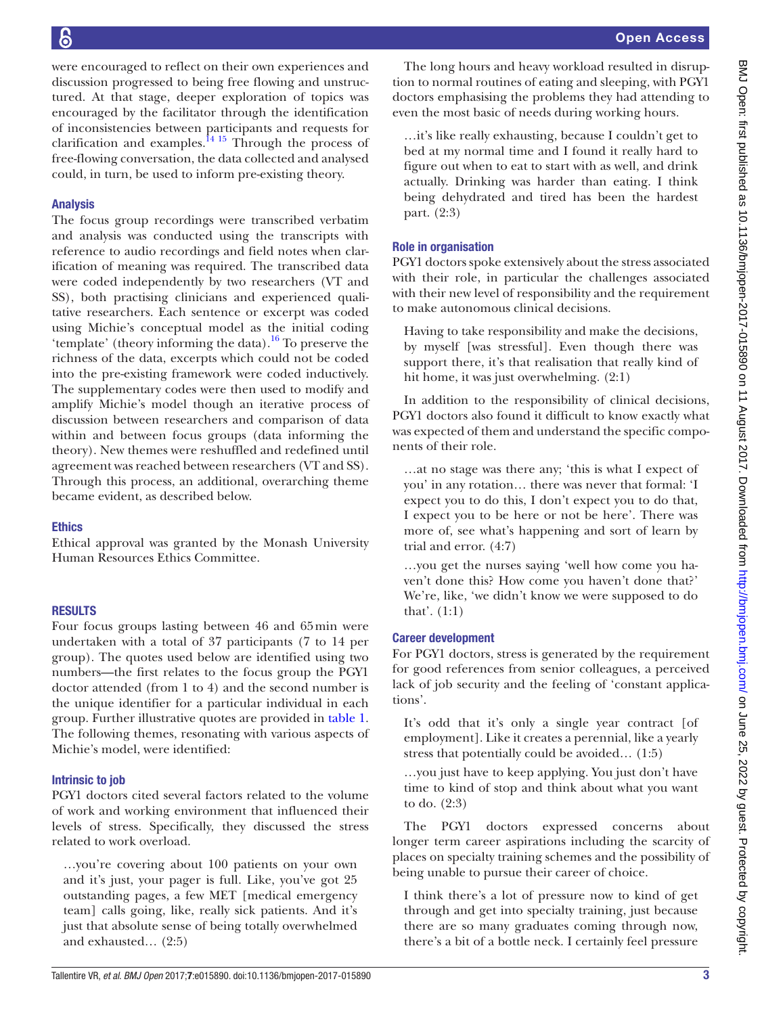were encouraged to reflect on their own experiences and discussion progressed to being free flowing and unstructured. At that stage, deeper exploration of topics was encouraged by the facilitator through the identification of inconsistencies between participants and requests for clarification and examples. $^{14}$ <sup>15</sup> Through the process of free-flowing conversation, the data collected and analysed could, in turn, be used to inform pre-existing theory.

# Analysis

The focus group recordings were transcribed verbatim and analysis was conducted using the transcripts with reference to audio recordings and field notes when clarification of meaning was required. The transcribed data were coded independently by two researchers (VT and SS), both practising clinicians and experienced qualitative researchers. Each sentence or excerpt was coded using Michie's conceptual model as the initial coding 'template' (theory informing the data).<sup>[16](#page-9-9)</sup> To preserve the richness of the data, excerpts which could not be coded into the pre-existing framework were coded inductively. The supplementary codes were then used to modify and amplify Michie's model though an iterative process of discussion between researchers and comparison of data within and between focus groups (data informing the theory). New themes were reshuffled and redefined until agreement was reached between researchers (VT and SS). Through this process, an additional, overarching theme became evident, as described below.

# Ethics

Ethical approval was granted by the Monash University Human Resources Ethics Committee.

## **RESULTS**

Four focus groups lasting between 46 and 65min were undertaken with a total of 37 participants (7 to 14 per group). The quotes used below are identified using two numbers—the first relates to the focus group the PGY1 doctor attended (from 1 to 4) and the second number is the unique identifier for a particular individual in each group. Further illustrative quotes are provided in [table](#page-3-0) 1. The following themes, resonating with various aspects of Michie's model, were identified:

## Intrinsic to job

PGY1 doctors cited several factors related to the volume of work and working environment that influenced their levels of stress. Specifically, they discussed the stress related to work overload.

…you're covering about 100 patients on your own and it's just, your pager is full. Like, you've got 25 outstanding pages, a few MET [medical emergency team] calls going, like, really sick patients. And it's just that absolute sense of being totally overwhelmed and exhausted… (2:5)

The long hours and heavy workload resulted in disruption to normal routines of eating and sleeping, with PGY1 doctors emphasising the problems they had attending to even the most basic of needs during working hours.

…it's like really exhausting, because I couldn't get to bed at my normal time and I found it really hard to figure out when to eat to start with as well, and drink actually. Drinking was harder than eating. I think being dehydrated and tired has been the hardest part. (2:3)

# Role in organisation

PGY1 doctors spoke extensively about the stress associated with their role, in particular the challenges associated with their new level of responsibility and the requirement to make autonomous clinical decisions.

Having to take responsibility and make the decisions, by myself [was stressful]. Even though there was support there, it's that realisation that really kind of hit home, it was just overwhelming. (2:1)

In addition to the responsibility of clinical decisions, PGY1 doctors also found it difficult to know exactly what was expected of them and understand the specific components of their role.

…at no stage was there any; 'this is what I expect of you' in any rotation… there was never that formal: 'I expect you to do this, I don't expect you to do that, I expect you to be here or not be here'. There was more of, see what's happening and sort of learn by trial and error. (4:7)

…you get the nurses saying 'well how come you haven't done this? How come you haven't done that?' We're, like, 'we didn't know we were supposed to do that'. (1:1)

# Career development

For PGY1 doctors, stress is generated by the requirement for good references from senior colleagues, a perceived lack of job security and the feeling of 'constant applications'.

It's odd that it's only a single year contract [of employment]. Like it creates a perennial, like a yearly stress that potentially could be avoided… (1:5)

…you just have to keep applying. You just don't have time to kind of stop and think about what you want to do. (2:3)

The PGY1 doctors expressed concerns about longer term career aspirations including the scarcity of places on specialty training schemes and the possibility of being unable to pursue their career of choice.

I think there's a lot of pressure now to kind of get through and get into specialty training, just because there are so many graduates coming through now, there's a bit of a bottle neck. I certainly feel pressure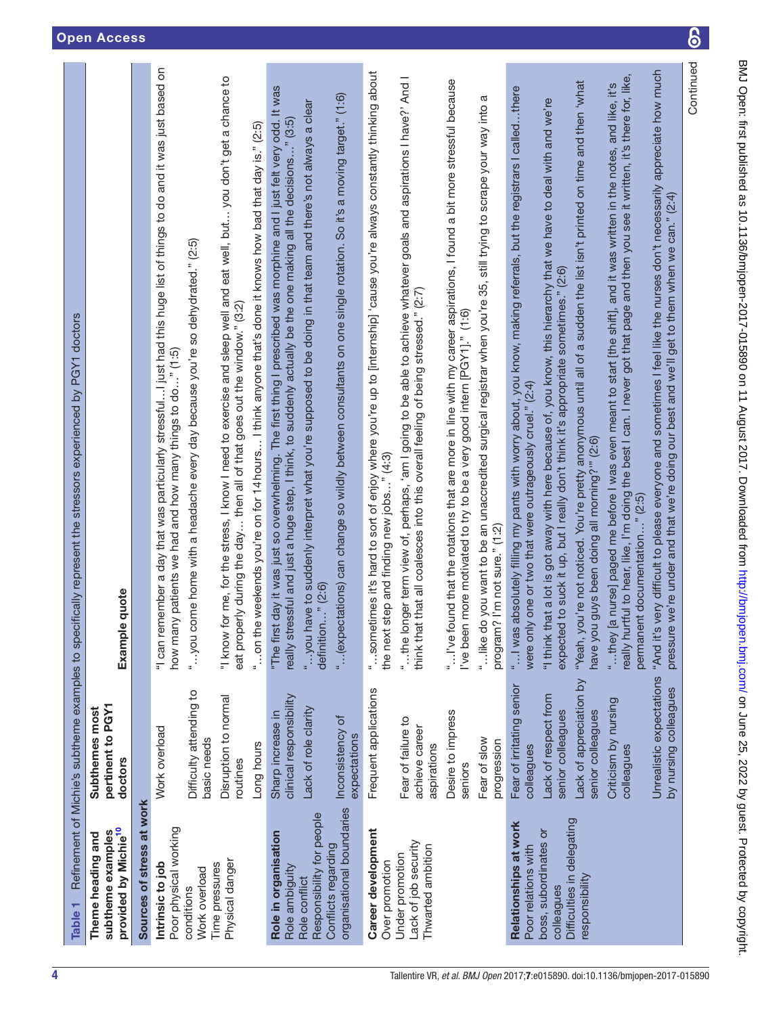<span id="page-3-0"></span>

| Table 1                                                                    |                                                     | Refinement of Michie's subtherne examples to specifically represent the stressors experienced by PGY1 doctors                                                                                                                                                                                |
|----------------------------------------------------------------------------|-----------------------------------------------------|----------------------------------------------------------------------------------------------------------------------------------------------------------------------------------------------------------------------------------------------------------------------------------------------|
| provided by Michie <sup>10</sup><br>subtheme examples<br>Theme heading and | pertinent to PGY1<br>Subthemes most<br>doctors      | Example quote                                                                                                                                                                                                                                                                                |
| Sources of stress at work                                                  |                                                     |                                                                                                                                                                                                                                                                                              |
| Poor physical working<br>Intrinsic to job                                  | Work overload                                       | "I can remember a day that was particularly stressfulI just had this huge list of things to do and it was just based on<br>how many patients we had and how many things to do" (1:5)                                                                                                         |
| Work overload<br>conditions                                                | Difficulty attending to<br>basic needs              | "you come home with a headache every day because you're so dehydrated." (2:5)                                                                                                                                                                                                                |
| Physical danger<br>Time pressures                                          | Disruption to normal<br>routines                    | "I know for me, for the stress, I know I need to exercise and sleep well and eat well, but you don't get a chance to<br>eat properly during the day then all of that goes out the window." (3:2)                                                                                             |
|                                                                            | Long hours                                          | "on the weekends you're on for 14 hours I think anyone that's done it knows how bad that day is." (2:5)                                                                                                                                                                                      |
| Role in organisation<br>Role ambiguity                                     | clinical responsibility<br>Sharp increase in        | "The first day it was just so overwhelming. The first thing I prescribed was morphine and I just felt very odd. It was<br>really stressful and just a huge step, I think, to suddenly actually be the one making all the decisions" (3:5)                                                    |
| Responsibility for people<br>Role conflict                                 | Lack of role clarity                                | "you have to suddenly interpret what you're supposed to be doing in that team and there's not always a clear<br>definition" (2:6)                                                                                                                                                            |
| organisational boundaries<br>Conflicts regarding                           | Inconsistency of<br>expectations                    | " (expectations) can change so wildly between consultants on one single rotation. So it's a moving target." (1:6)                                                                                                                                                                            |
| Career development<br>Over promotion                                       | Frequent applications                               | "sometimes it's hard to sort of enjoy where you're up to [internship] 'cause you're always constantly thinking about<br>the next step and finding new jobs" (4:3)                                                                                                                            |
| Lack of job security<br>Thwarted ambition<br>Under promotion               | Fear of failure to<br>achieve career<br>aspirations | "the longer term view of, perhaps, 'am I going to be able to achieve whatever goals and aspirations I have?' And I<br>think that that all coalesces into this overall feeling of being stressed." (2:7)                                                                                      |
|                                                                            | Desire to impress<br>seniors                        | "I've found that the rotations that are more in line with my career aspirations, I found a bit more stressful because<br>I've been more motivated to try to be a very good intern [PGY1]." (1:6)                                                                                             |
|                                                                            | Fear of slow<br>progression                         | "like do you want to be an unaccredited surgical registrar when you're 35, still trying to scrape your way into a<br>program? I'm not sure." (1:2)                                                                                                                                           |
| Relationships at work<br>Poor relations with                               | Fear of irritating senior<br>colleagues             | "I was absolutely filling my pants with worry about, you know, making referrals, but the registrars I calledthere<br>were only one or two that were outrageously cruel." (2:4)                                                                                                               |
| boss, subordinates or<br>colleagues                                        | Lack of respect from<br>senior colleagues           | "I think that a lot is got away with here because of, you know, this hierarchy that we have to deal with and we're<br>expected to suck it up, but I really don't think it's appropriate sometimes." (2:6)                                                                                    |
| Difficulties in delegating<br>responsibility                               | Lack of appreciation by<br>senior colleagues        | "Yeah, you're not noticed. You're pretty anonymous until all of a sudden the list isn't printed on time and then 'what<br>have you guys been doing all morning?"" (2:6)                                                                                                                      |
|                                                                            | Criticism by nursing<br>colleagues                  | really hurtful to hear, like, I'm doing the best I can. I never got that page and then you see it written, it's there for, like,<br>"they [a nurse] paged me before I was even meant to start [the shift], and it was written in the notes, and like, it's<br>permanent documentation" (2:5) |
|                                                                            | Unrealistic expectations<br>by nursing colleagues   | "And it's very difficult to please everyone and sometimes I feel like the nurses don't necessarily appreciate how much<br>pressure we're under and that we're doing our best and we'll get to them when we can." (2:4)                                                                       |
|                                                                            |                                                     | Continued                                                                                                                                                                                                                                                                                    |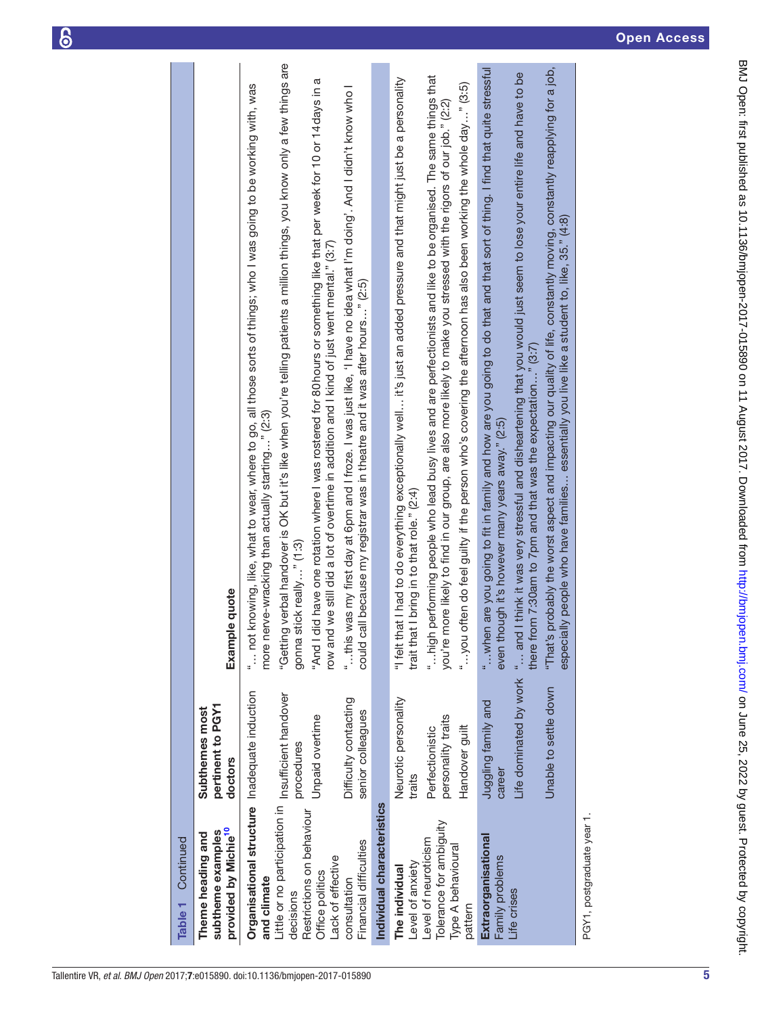$\boldsymbol{\delta}$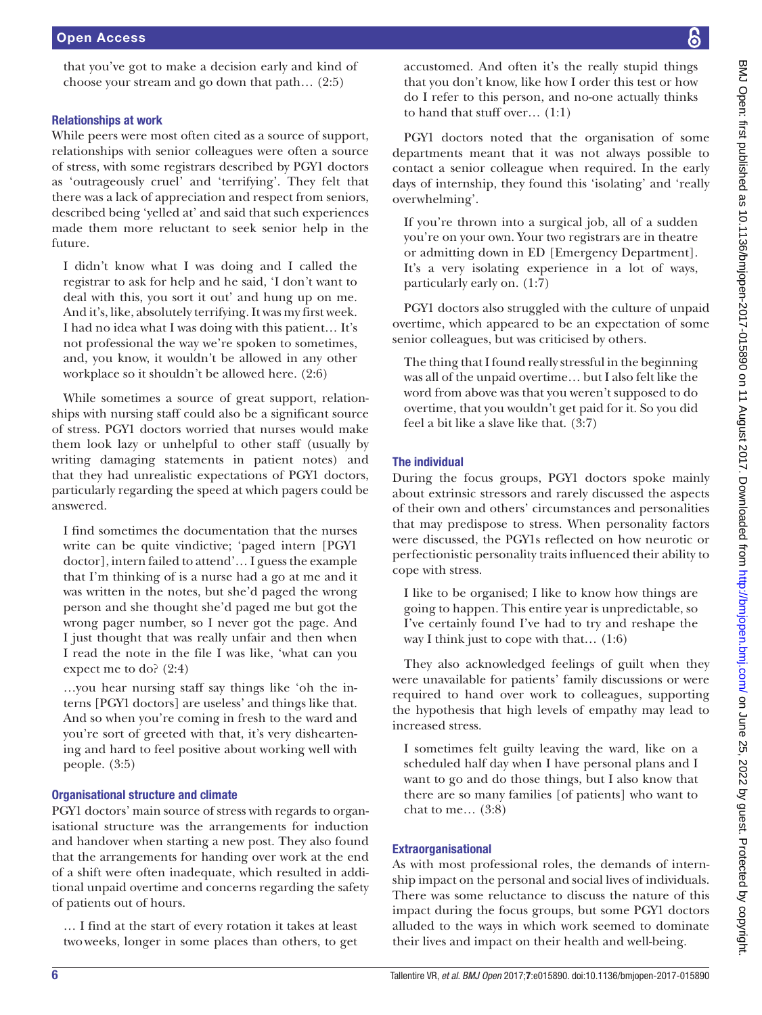that you've got to make a decision early and kind of choose your stream and go down that path… (2:5)

## Relationships at work

While peers were most often cited as a source of support, relationships with senior colleagues were often a source of stress, with some registrars described by PGY1 doctors as 'outrageously cruel' and 'terrifying'. They felt that there was a lack of appreciation and respect from seniors, described being 'yelled at' and said that such experiences made them more reluctant to seek senior help in the future.

I didn't know what I was doing and I called the registrar to ask for help and he said, 'I don't want to deal with this, you sort it out' and hung up on me. And it's, like, absolutely terrifying. It was my first week. I had no idea what I was doing with this patient… It's not professional the way we're spoken to sometimes, and, you know, it wouldn't be allowed in any other workplace so it shouldn't be allowed here. (2:6)

While sometimes a source of great support, relationships with nursing staff could also be a significant source of stress. PGY1 doctors worried that nurses would make them look lazy or unhelpful to other staff (usually by writing damaging statements in patient notes) and that they had unrealistic expectations of PGY1 doctors, particularly regarding the speed at which pagers could be answered.

I find sometimes the documentation that the nurses write can be quite vindictive; 'paged intern [PGY1 doctor], intern failed to attend'… I guess the example that I'm thinking of is a nurse had a go at me and it was written in the notes, but she'd paged the wrong person and she thought she'd paged me but got the wrong pager number, so I never got the page. And I just thought that was really unfair and then when I read the note in the file I was like, 'what can you expect me to do? (2:4)

…you hear nursing staff say things like 'oh the interns [PGY1 doctors] are useless' and things like that. And so when you're coming in fresh to the ward and you're sort of greeted with that, it's very disheartening and hard to feel positive about working well with people. (3:5)

## Organisational structure and climate

PGY1 doctors' main source of stress with regards to organisational structure was the arrangements for induction and handover when starting a new post. They also found that the arrangements for handing over work at the end of a shift were often inadequate, which resulted in additional unpaid overtime and concerns regarding the safety of patients out of hours.

… I find at the start of every rotation it takes at least twoweeks, longer in some places than others, to get accustomed. And often it's the really stupid things that you don't know, like how I order this test or how do I refer to this person, and no-one actually thinks to hand that stuff over… (1:1)

PGY1 doctors noted that the organisation of some departments meant that it was not always possible to contact a senior colleague when required. In the early days of internship, they found this 'isolating' and 'really overwhelming'.

If you're thrown into a surgical job, all of a sudden you're on your own. Your two registrars are in theatre or admitting down in ED [Emergency Department]. It's a very isolating experience in a lot of ways, particularly early on. (1:7)

PGY1 doctors also struggled with the culture of unpaid overtime, which appeared to be an expectation of some senior colleagues, but was criticised by others.

The thing that I found really stressful in the beginning was all of the unpaid overtime… but I also felt like the word from above was that you weren't supposed to do overtime, that you wouldn't get paid for it. So you did feel a bit like a slave like that. (3:7)

#### The individual

During the focus groups, PGY1 doctors spoke mainly about extrinsic stressors and rarely discussed the aspects of their own and others' circumstances and personalities that may predispose to stress. When personality factors were discussed, the PGY1s reflected on how neurotic or perfectionistic personality traits influenced their ability to cope with stress.

I like to be organised; I like to know how things are going to happen. This entire year is unpredictable, so I've certainly found I've had to try and reshape the way I think just to cope with that… (1:6)

They also acknowledged feelings of guilt when they were unavailable for patients' family discussions or were required to hand over work to colleagues, supporting the hypothesis that high levels of empathy may lead to increased stress.

I sometimes felt guilty leaving the ward, like on a scheduled half day when I have personal plans and I want to go and do those things, but I also know that there are so many families [of patients] who want to chat to me… (3:8)

#### Extraorganisational

As with most professional roles, the demands of internship impact on the personal and social lives of individuals. There was some reluctance to discuss the nature of this impact during the focus groups, but some PGY1 doctors alluded to the ways in which work seemed to dominate their lives and impact on their health and well-being.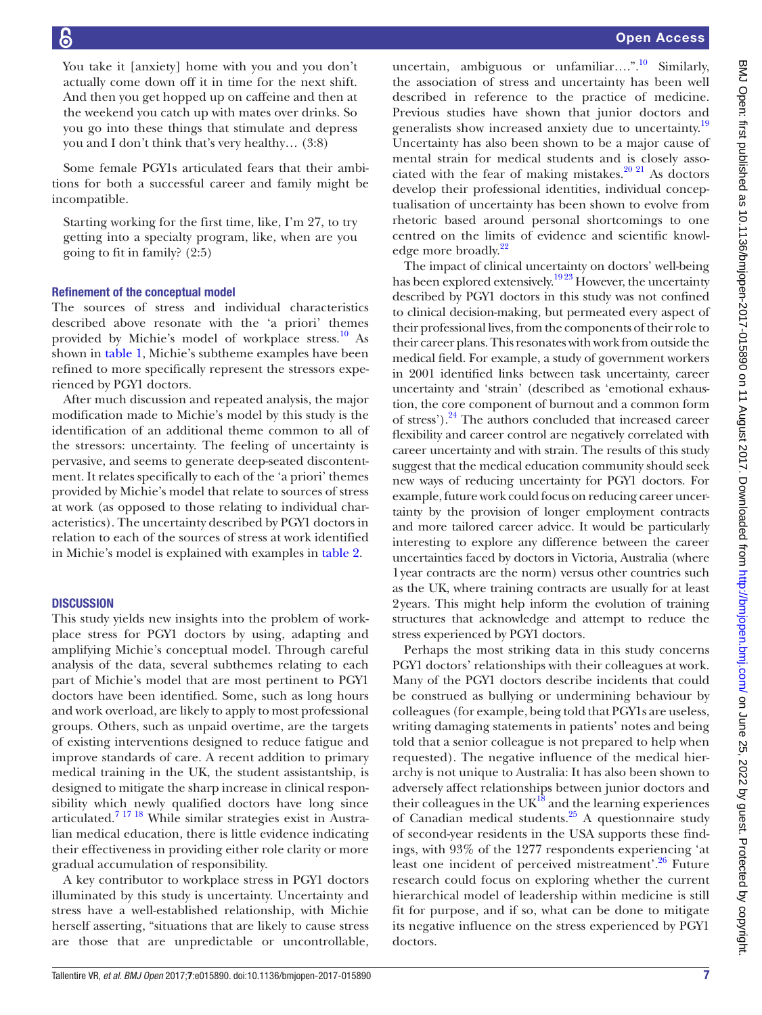You take it [anxiety] home with you and you don't actually come down off it in time for the next shift. And then you get hopped up on caffeine and then at the weekend you catch up with mates over drinks. So you go into these things that stimulate and depress you and I don't think that's very healthy… (3:8)

Some female PGY1s articulated fears that their ambitions for both a successful career and family might be incompatible.

Starting working for the first time, like, I'm 27, to try getting into a specialty program, like, when are you going to fit in family? (2:5)

#### Refinement of the conceptual model

The sources of stress and individual characteristics described above resonate with the 'a priori' themes provided by Michie's model of workplace stress.<sup>10</sup> As shown in [table](#page-3-0) 1, Michie's subtheme examples have been refined to more specifically represent the stressors experienced by PGY1 doctors.

After much discussion and repeated analysis, the major modification made to Michie's model by this study is the identification of an additional theme common to all of the stressors: uncertainty. The feeling of uncertainty is pervasive, and seems to generate deep-seated discontentment. It relates specifically to each of the 'a priori' themes provided by Michie's model that relate to sources of stress at work (as opposed to those relating to individual characteristics). The uncertainty described by PGY1 doctors in relation to each of the sources of stress at work identified in Michie's model is explained with examples in [table](#page-7-0) 2.

#### **DISCUSSION**

This study yields new insights into the problem of workplace stress for PGY1 doctors by using, adapting and amplifying Michie's conceptual model. Through careful analysis of the data, several subthemes relating to each part of Michie's model that are most pertinent to PGY1 doctors have been identified. Some, such as long hours and work overload, are likely to apply to most professional groups. Others, such as unpaid overtime, are the targets of existing interventions designed to reduce fatigue and improve standards of care. A recent addition to primary medical training in the UK, the student assistantship, is designed to mitigate the sharp increase in clinical responsibility which newly qualified doctors have long since articulated.[7 17 18](#page-9-10) While similar strategies exist in Australian medical education, there is little evidence indicating their effectiveness in providing either role clarity or more gradual accumulation of responsibility.

A key contributor to workplace stress in PGY1 doctors illuminated by this study is uncertainty. Uncertainty and stress have a well-established relationship, with Michie herself asserting, "situations that are likely to cause stress are those that are unpredictable or uncontrollable,

uncertain, ambiguous or unfamiliar....".<sup>[10](#page-9-5)</sup> Similarly, the association of stress and uncertainty has been well described in reference to the practice of medicine. Previous studies have shown that junior doctors and generalists show increased anxiety due to uncertainty.<sup>[19](#page-9-11)</sup> Uncertainty has also been shown to be a major cause of mental strain for medical students and is closely associated with the fear of making mistakes.  $20\frac{2}{1}$  As doctors develop their professional identities, individual conceptualisation of uncertainty has been shown to evolve from rhetoric based around personal shortcomings to one centred on the limits of evidence and scientific knowl-edge more broadly.<sup>[22](#page-9-13)</sup>

The impact of clinical uncertainty on doctors' well-being has been explored extensively.<sup>1923</sup> However, the uncertainty described by PGY1 doctors in this study was not confined to clinical decision-making, but permeated every aspect of their professional lives, from the components of their role to their career plans. This resonates with work from outside the medical field. For example, a study of government workers in 2001 identified links between task uncertainty, career uncertainty and 'strain' (described as 'emotional exhaustion, the core component of burnout and a common form of stress').<sup>24</sup> The authors concluded that increased career flexibility and career control are negatively correlated with career uncertainty and with strain. The results of this study suggest that the medical education community should seek new ways of reducing uncertainty for PGY1 doctors. For example, future work could focus on reducing career uncertainty by the provision of longer employment contracts and more tailored career advice. It would be particularly interesting to explore any difference between the career uncertainties faced by doctors in Victoria, Australia (where 1year contracts are the norm) versus other countries such as the UK, where training contracts are usually for at least 2years. This might help inform the evolution of training structures that acknowledge and attempt to reduce the stress experienced by PGY1 doctors.

Perhaps the most striking data in this study concerns PGY1 doctors' relationships with their colleagues at work. Many of the PGY1 doctors describe incidents that could be construed as bullying or undermining behaviour by colleagues (for example, being told that PGY1s are useless, writing damaging statements in patients' notes and being told that a senior colleague is not prepared to help when requested). The negative influence of the medical hierarchy is not unique to Australia: It has also been shown to adversely affect relationships between junior doctors and their colleagues in the  $UK^{18}$  and the learning experiences of Canadian medical students.<sup>[25](#page-9-16)</sup> A questionnaire study of second-year residents in the USA supports these findings, with 93% of the 1277 respondents experiencing 'at least one incident of perceived mistreatment'.<sup>[26](#page-9-17)</sup> Future research could focus on exploring whether the current hierarchical model of leadership within medicine is still fit for purpose, and if so, what can be done to mitigate its negative influence on the stress experienced by PGY1 doctors.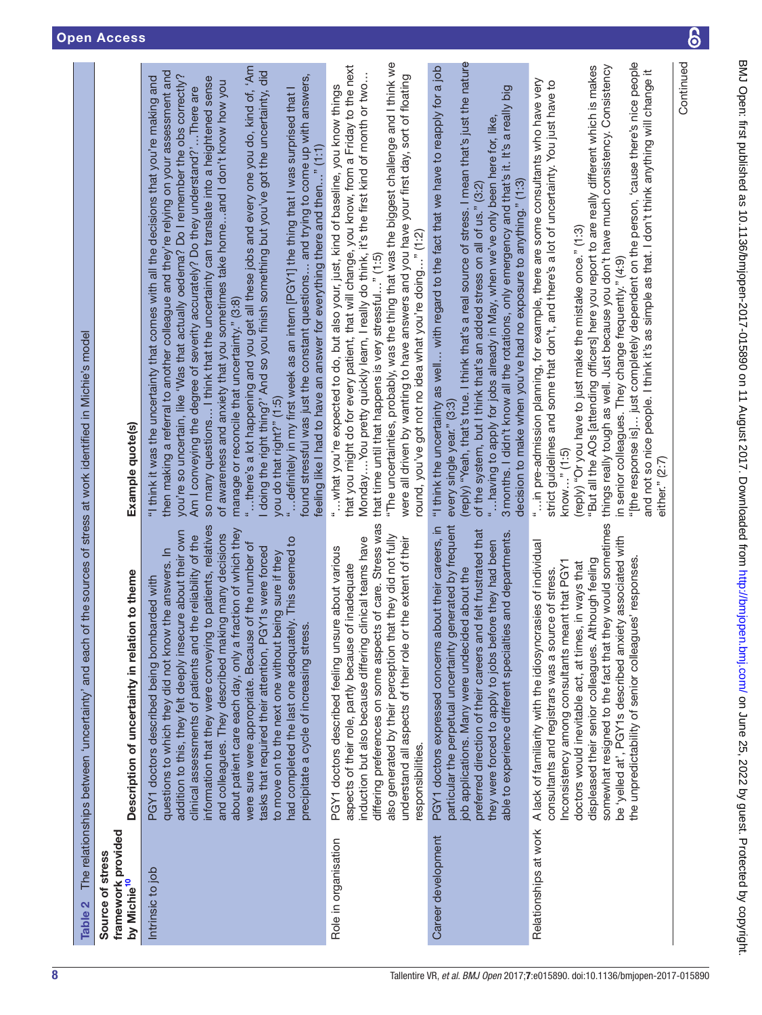| Table 2                                                           | The relationships between 'uncertainty' and each of the sources of stress at work identified in Michie's model                                                                                                                                                                                                                                                                                                                                                                                                                                                                                                                                                                                          |                                                                                                                                                                                                                                                                                                                                                                                                                                                                                                                                                                                                                                                                                                                                                                                                                                                                                                                                                                                                                                                                          |
|-------------------------------------------------------------------|---------------------------------------------------------------------------------------------------------------------------------------------------------------------------------------------------------------------------------------------------------------------------------------------------------------------------------------------------------------------------------------------------------------------------------------------------------------------------------------------------------------------------------------------------------------------------------------------------------------------------------------------------------------------------------------------------------|--------------------------------------------------------------------------------------------------------------------------------------------------------------------------------------------------------------------------------------------------------------------------------------------------------------------------------------------------------------------------------------------------------------------------------------------------------------------------------------------------------------------------------------------------------------------------------------------------------------------------------------------------------------------------------------------------------------------------------------------------------------------------------------------------------------------------------------------------------------------------------------------------------------------------------------------------------------------------------------------------------------------------------------------------------------------------|
| framework provided<br>Source of stress<br>by Michie <sup>10</sup> | Description of uncertainty in relation to theme                                                                                                                                                                                                                                                                                                                                                                                                                                                                                                                                                                                                                                                         | Example quote(s)                                                                                                                                                                                                                                                                                                                                                                                                                                                                                                                                                                                                                                                                                                                                                                                                                                                                                                                                                                                                                                                         |
| Intrinsic to job                                                  | information that they were conveying to patients, relatives<br>about patient care each day, only a fraction of which they<br>addition to this, they felt deeply insecure about their own<br>and colleagues. They described making many decisions<br>clinical assessments of patients and the reliability of the<br>had completed the last one adequately. This seemed to<br>were sure were appropriate. Because of the number of<br>tasks that required their attention, PGY1s were forced<br>questions to which they did not know the answers. In<br>to move on to the next one without being sure if they<br>PGY1 doctors described being bombarded with<br>precipitate a cycle of increasing stress. | "there's a lot happening and you get all these jobs and every one you do, kind of, 'Am<br>I doing the right thing?' And so you finish something but you've got the uncertainty, did<br>then making a referral to another colleague and they're relying on your assessment and<br>you're so uncertain, like 'Was that actually oedema? Do I remember the obs correctly?<br>found stressful was just the constant questions and trying to come up with answers,<br>"I think it was the uncertainty that comes with all the decisions that you're making and<br>so many questions I think that the uncertainty can translate into a heightened sense<br>of awareness and anxiety that you sometimes take homeand I don't know how you<br>Am I conveying the degree of severity accurately? Do they understand?'There are<br>" definitely in my first week as an intern [PGY1] the thing that I was surprised that<br>feeling like I had to have an answer for everything there and then" (1:1)<br>manage or reconcile that uncertainty." (3:8)<br>you do that right?" (1:5) |
| Role in organisation                                              | ts of care. Stress was<br>also generated by their perception that they did not fully<br>understand all aspects of their role or the extent of their<br>induction but also because differing clinical teams have<br>PGY1 doctors described feeling unsure about various<br>aspects of their role, partly because of inadequate<br>differing preferences on some aspect<br>responsibilities.                                                                                                                                                                                                                                                                                                              | "The uncertainties, probably, was the thing that was the biggest challenge and I think we<br>that you might do for every patient, that will change, you know, from a Friday to the next<br>MondayYou pretty quickly learn, I really do think, it's the first kind of month or two<br>were all driven by wanting to have answers and you have your first day, sort of floating<br>" what you're expected to do, but also your, just, kind of baseline, you know things<br>round, you've got not no idea what you're doing" (1:2)<br>that time until that happens is very stressful" (1:5)                                                                                                                                                                                                                                                                                                                                                                                                                                                                                 |
| Career development                                                | particular the perpetual uncertainty generated by frequent<br>PGY1 doctors expressed concerns about their careers, in<br>preferred direction of their careers and felt frustrated that<br>able to experience different specialties and departments<br>they were forced to apply to jobs before they had been<br>job applications. Many were undecided about the                                                                                                                                                                                                                                                                                                                                         | (reply) "Yeah, that's true. I think that's a real source of stress. I mean that's just the nature<br>"I think the uncertainty as well with regard to the fact that we have to reapply for a job<br>3 months. I didn't know all the rotations, only emergency and that's it. It's a really big<br>"having to apply for jobs already in May, when we've only been here for, like,<br>decision to make when you've had no exposure to anything." (1:3)<br>of the system, but I think that's an added stress on all of us." (3:2)<br>every single year." (3:3)                                                                                                                                                                                                                                                                                                                                                                                                                                                                                                               |
| Relationships at work                                             | somewhat resigned to the fact that they would sometimes<br>be 'yelled at', PGY1s described anxiety associated with<br>A lack of familiarity with the idiosyncrasies of individual<br>the unpredictability of senior colleagues' responses<br>displeased their senior colleagues. Although feeling<br>Inconsistency among consultants meant that PGY1<br>doctors would inevitable act, at times, in ways that<br>consultants and registrars was a source of stress.                                                                                                                                                                                                                                      | "[the response is] just completely dependent on the person, 'cause there's nice people<br>"But all the AOs [attending officers] here you report to are really different which is makes<br>things really tough as well. Just because you don't have much consistency. Consistency<br>and not so nice people. I think it's as simple as that. I don't think anything will change it<br>"in pre-admission planning, for example, there are some consultants who have very<br>strict guidelines and some that don't, and there's a lot of uncertainty. You just have to<br>(reply) "Or you have to just make the mistake once." (1:3)<br>in senior colleagues. They change frequently." (4:9)<br>know" (1:5)<br>either." (2:7)                                                                                                                                                                                                                                                                                                                                               |

**Continued** 

Continued

 $\bf{6}$ 

<span id="page-7-0"></span>É ¢  $\frac{1}{2}$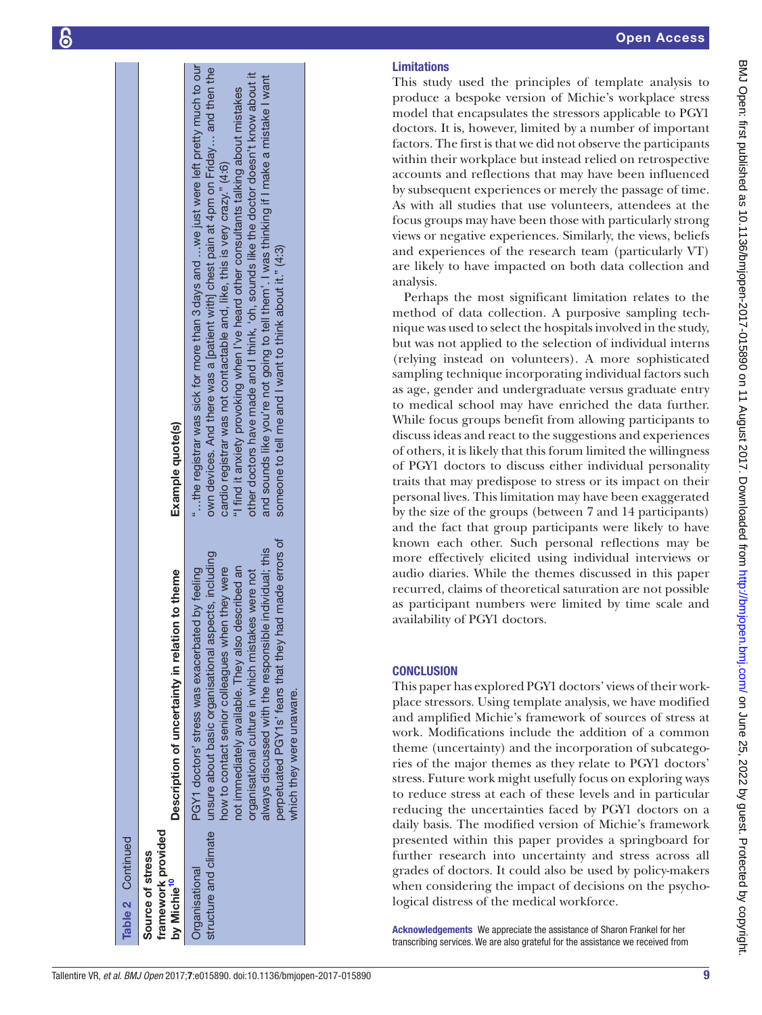| Table 2 Continued                                                 |                                                                                                                                                                                                                                                                                                                                                                                                                                           |                                                                                                                                                                                                                                                                                                                                                                                                                                                                                                                                                                                                        |
|-------------------------------------------------------------------|-------------------------------------------------------------------------------------------------------------------------------------------------------------------------------------------------------------------------------------------------------------------------------------------------------------------------------------------------------------------------------------------------------------------------------------------|--------------------------------------------------------------------------------------------------------------------------------------------------------------------------------------------------------------------------------------------------------------------------------------------------------------------------------------------------------------------------------------------------------------------------------------------------------------------------------------------------------------------------------------------------------------------------------------------------------|
| framework provided<br>Source of stress<br>by Michie <sup>10</sup> | Description of uncertainty in relation to theme                                                                                                                                                                                                                                                                                                                                                                                           | Example quote(s)                                                                                                                                                                                                                                                                                                                                                                                                                                                                                                                                                                                       |
| Organisational                                                    | perpetuated PGY1s' fears that they had made errors of<br>always discussed with the responsible individual; this<br>structure and climate unsure about basic organisational aspects, including<br>not immediately available. They also described an<br>how to contact senior colleagues when they were<br>PGY1 doctors' stress was exacerbated by feeling<br>organisational culture in which mistakes were not<br>which they were unaware. | the registrar was sick for more than 3 days and  we just were left pretty much to our<br>own devices. And there was a [patient with] chest pain at 4pm on Friday and then the<br>other doctors have made and I think, 'oh, sounds like the doctor doesn't know about it<br>and sounds like you're not going to tell them'. I was thinking if I make a mistake I want<br>"I find it anxiety provoking when I've heard other consultants talking about mistakes<br>cardio registrar was not contactable and, like, this is very crazy." (4:6)<br>someone to tell me and I want to think about it." (4:3) |

# Limitations

This study used the principles of template analysis to produce a bespoke version of Michie's workplace stress model that encapsulates the stressors applicable to PGY1 doctors. It is, however, limited by a number of important factors. The first is that we did not observe the participants within their workplace but instead relied on retrospective accounts and reflections that may have been influenced by subsequent experiences or merely the passage of time. As with all studies that use volunteers, attendees at the focus groups may have been those with particularly strong views or negative experiences. Similarly, the views, beliefs and experiences of the research team (particularly VT) are likely to have impacted on both data collection and analysis.

Perhaps the most significant limitation relates to the method of data collection. A purposive sampling tech nique was used to select the hospitals involved in the study, but was not applied to the selection of individual interns (relying instead on volunteers). A more sophisticated sampling technique incorporating individual factors such as age, gender and undergraduate versus graduate entry to medical school may have enriched the data further. While focus groups benefit from allowing participants to discuss ideas and react to the suggestions and experiences of others, it is likely that this forum limited the willingness of PGY1 doctors to discuss either individual personality traits that may predispose to stress or its impact on their personal lives. This limitation may have been exaggerated by the size of the groups (between 7 and 14 participants) and the fact that group participants were likely to have known each other. Such personal reflections may be more effectively elicited using individual interviews or audio diaries. While the themes discussed in this paper recurred, claims of theoretical saturation are not possible as participant numbers were limited by time scale and availability of PGY1 doctors.

# **CONCLUSION**

This paper has explored PGY1 doctors' views of their workplace stressors. Using template analysis, we have modified and amplified Michie's framework of sources of stress at work. Modifications include the addition of a common theme (uncertainty) and the incorporation of subcatego ries of the major themes as they relate to PGY1 doctors' stress. Future work might usefully focus on exploring ways to reduce stress at each of these levels and in particular reducing the uncertainties faced by PGY1 doctors on a daily basis. The modified version of Michie's framework presented within this paper provides a springboard for further research into uncertainty and stress across all grades of doctors. It could also be used by policy-makers when considering the impact of decisions on the psychological distress of the medical workforce.

Acknowledgements We appreciate the assistance of Sharon Frankel for her transcribing services. We are also grateful for the assistance we received from